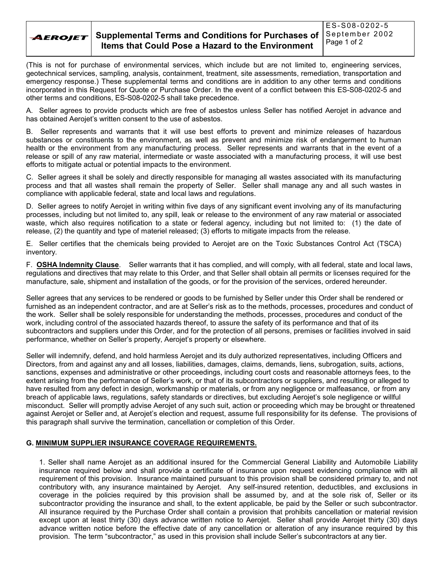

(This is not for purchase of environmental services, which include but are not limited to, engineering services, geotechnical services, sampling, analysis, containment, treatment, site assessments, remediation, transportation and emergency response.) These supplemental terms and conditions are in addition to any other terms and conditions incorporated in this Request for Quote or Purchase Order. In the event of a conflict between this ES-S08-0202-5 and other terms and conditions, ES-S08-0202-5 shall take precedence.

A. Seller agrees to provide products which are free of asbestos unless Seller has notified Aerojet in advance and has obtained Aerojet's written consent to the use of asbestos.

B. Seller represents and warrants that it will use best efforts to prevent and minimize releases of hazardous substances or constituents to the environment, as well as prevent and minimize risk of endangerment to human health or the environment from any manufacturing process. Seller represents and warrants that in the event of a release or spill of any raw material, intermediate or waste associated with a manufacturing process, it will use best efforts to mitigate actual or potential impacts to the environment.

C. Seller agrees it shall be solely and directly responsible for managing all wastes associated with its manufacturing process and that all wastes shall remain the property of Seller. Seller shall manage any and all such wastes in compliance with applicable federal, state and local laws and regulations.

D. Seller agrees to notify Aerojet in writing within five days of any significant event involving any of its manufacturing processes, including but not limited to, any spill, leak or release to the environment of any raw material or associated waste, which also requires notification to a state or federal agency, including but not limited to: (1) the date of release, (2) the quantity and type of materiel released; (3) efforts to mitigate impacts from the release.

E. Seller certifies that the chemicals being provided to Aerojet are on the Toxic Substances Control Act (TSCA) inventory.

F. **OSHA Indemnity Clause**. Seller warrants that it has complied, and will comply, with all federal, state and local laws, regulations and directives that may relate to this Order, and that Seller shall obtain all permits or licenses required for the manufacture, sale, shipment and installation of the goods, or for the provision of the services, ordered hereunder.

Seller agrees that any services to be rendered or goods to be furnished by Seller under this Order shall be rendered or furnished as an independent contractor, and are at Seller's risk as to the methods, processes, procedures and conduct of the work. Seller shall be solely responsible for understanding the methods, processes, procedures and conduct of the work, including control of the associated hazards thereof, to assure the safety of its performance and that of its subcontractors and suppliers under this Order, and for the protection of all persons, premises or facilities involved in said performance, whether on Seller's property, Aerojet's property or elsewhere.

Seller will indemnify, defend, and hold harmless Aerojet and its duly authorized representatives, including Officers and Directors, from and against any and all losses, liabilities, damages, claims, demands, liens, subrogation, suits, actions, sanctions, expenses and administrative or other proceedings, including court costs and reasonable attorneys fees, to the extent arising from the performance of Sellerís work, or that of its subcontractors or suppliers, and resulting or alleged to have resulted from any defect in design, workmanship or materials, or from any negligence or malfeasance, or from any breach of applicable laws, regulations, safety standards or directives, but excluding Aerojet's sole negligence or willful misconduct. Seller will promptly advise Aerojet of any such suit, action or proceeding which may be brought or threatened against Aerojet or Seller and, at Aerojet's election and request, assume full responsibility for its defense. The provisions of this paragraph shall survive the termination, cancellation or completion of this Order.

## **G. MINIMUM SUPPLIER INSURANCE COVERAGE REQUIREMENTS.**

1. Seller shall name Aerojet as an additional insured for the Commercial General Liability and Automobile Liability insurance required below and shall provide a certificate of insurance upon request evidencing compliance with all requirement of this provision. Insurance maintained pursuant to this provision shall be considered primary to, and not contributory with, any insurance maintained by Aerojet. Any self-insured retention, deductibles, and exclusions in coverage in the policies required by this provision shall be assumed by, and at the sole risk of, Seller or its subcontractor providing the insurance and shall, to the extent applicable, be paid by the Seller or such subcontractor. All insurance required by the Purchase Order shall contain a provision that prohibits cancellation or material revision except upon at least thirty (30) days advance written notice to Aerojet. Seller shall provide Aerojet thirty (30) days advance written notice before the effective date of any cancellation or alteration of any insurance required by this provision. The term "subcontractor," as used in this provision shall include Seller's subcontractors at any tier.